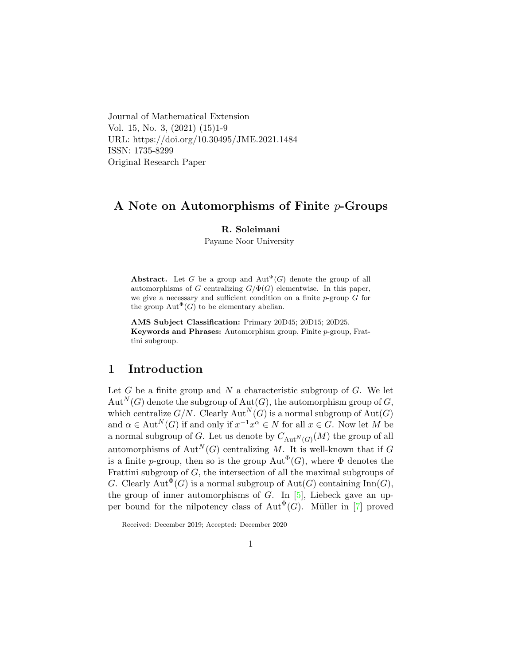Journal of Mathematical Extension Vol. 15, No. 3, (2021) (15)1-9 URL: https://doi.org/10.30495/JME.2021.1484 ISSN: 1735-8299 Original Research Paper

## A Note on Automorphisms of Finite p-Groups

#### R. Soleimani

Payame Noor University

**Abstract.** Let G be a group and  $\text{Aut}^{\Phi}(G)$  denote the group of all automorphisms of G centralizing  $G/\Phi(G)$  elementwise. In this paper, we give a necessary and sufficient condition on a finite  $p$ -group  $G$  for the group  $\text{Aut}^{\Phi}(G)$  to be elementary abelian.

AMS Subject Classification: Primary 20D45; 20D15; 20D25. Keywords and Phrases: Automorphism group, Finite p-group, Frattini subgroup.

# 1 Introduction

Let  $G$  be a finite group and  $N$  a characteristic subgroup of  $G$ . We let  $Aut^N(G)$  denote the subgroup of  $Aut(G)$ , the automorphism group of G, which centralize  $G/N$ . Clearly  $\text{Aut}^N(G)$  is a normal subgroup of  $\text{Aut}(G)$ and  $\alpha \in \text{Aut}^N(G)$  if and only if  $x^{-1}x^{\alpha} \in N$  for all  $x \in G$ . Now let M be a normal subgroup of  $G$ . Let us denote by  $C_{\text{Aut}^N(G)}(M)$  the group of all automorphisms of  $Aut^N(G)$  centralizing M. It is well-known that if G is a finite p-group, then so is the group  $\text{Aut}^{\Phi}(G)$ , where  $\Phi$  denotes the Frattini subgroup of  $G$ , the intersection of all the maximal subgroups of G. Clearly  $\text{Aut}^{\Phi}(G)$  is a normal subgroup of  $\text{Aut}(G)$  containing  $\text{Inn}(G)$ , the group of inner automorphisms of  $G$ . In [\[5\]](#page-7-0), Liebeck gave an upper bound for the nilpotency class of  $\text{Aut}^{\Phi}(G)$ . Müller in [\[7\]](#page-7-1) proved

Received: December 2019; Accepted: December 2020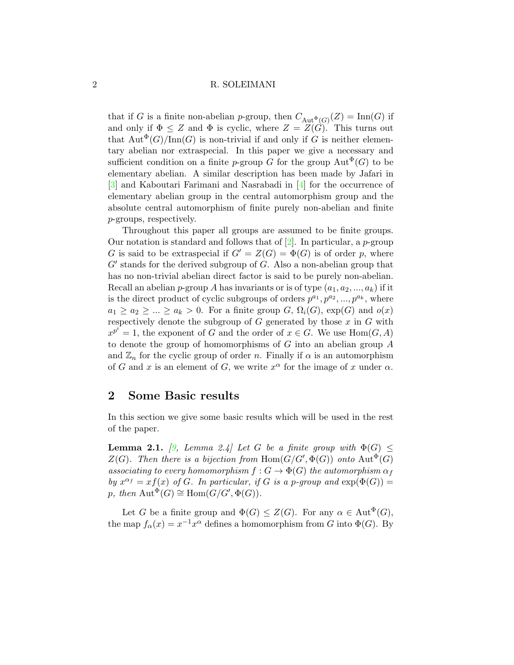#### 2 R. SOLEIMANI

that if G is a finite non-abelian p-group, then  $C_{\text{Aut}^{\Phi}(G)}(Z) = \text{Inn}(G)$  if and only if  $\Phi \leq Z$  and  $\Phi$  is cyclic, where  $Z = \overline{Z(\hat{G})}$ . This turns out that  $Aut^{\Phi}(G)/\text{Inn}(G)$  is non-trivial if and only if G is neither elementary abelian nor extraspecial. In this paper we give a necessary and sufficient condition on a finite p-group G for the group  $\mathrm{Aut}^{\Phi}(G)$  to be elementary abelian. A similar description has been made by Jafari in [\[3\]](#page-7-2) and Kaboutari Farimani and Nasrabadi in [\[4\]](#page-7-3) for the occurrence of elementary abelian group in the central automorphism group and the absolute central automorphism of finite purely non-abelian and finite p-groups, respectively.

Throughout this paper all groups are assumed to be finite groups. Our notation is standard and follows that of  $[2]$ . In particular, a p-group G is said to be extraspecial if  $G' = Z(G) = \Phi(G)$  is of order p, where  $G'$  stands for the derived subgroup of  $G$ . Also a non-abelian group that has no non-trivial abelian direct factor is said to be purely non-abelian. Recall an abelian p-group A has invariants or is of type  $(a_1, a_2, ..., a_k)$  if it is the direct product of cyclic subgroups of orders  $p^{a_1}, p^{a_2}, ..., p^{a_k}$ , where  $a_1 \ge a_2 \ge ... \ge a_k > 0$ . For a finite group  $G, \Omega_i(G)$ ,  $\exp(G)$  and  $o(x)$ respectively denote the subgroup of  $G$  generated by those  $x$  in  $G$  with  $x^{p^i} = 1$ , the exponent of G and the order of  $x \in G$ . We use  $\text{Hom}(G, A)$ to denote the group of homomorphisms of G into an abelian group A and  $\mathbb{Z}_n$  for the cyclic group of order n. Finally if  $\alpha$  is an automorphism of G and x is an element of G, we write  $x^{\alpha}$  for the image of x under  $\alpha$ .

## 2 Some Basic results

In this section we give some basic results which will be used in the rest of the paper.

**Lemma 2.1.** [\[9,](#page-7-5) Lemma 2.4] Let G be a finite group with  $\Phi(G) \leq$  $Z(G)$ . Then there is a bijection from  $\text{Hom}(G/G', \Phi(G))$  onto  $\text{Aut}^{\Phi}(G)$ associating to every homomorphism  $f: G \to \Phi(G)$  the automorphism  $\alpha_f$ by  $x^{\alpha_f} = xf(x)$  of G. In particular, if G is a p-group and  $\exp(\Phi(G)) =$ p, then  $\text{Aut}^{\Phi}(G) \cong \text{Hom}(G/G', \Phi(G)).$ 

Let G be a finite group and  $\Phi(G) \leq Z(G)$ . For any  $\alpha \in \text{Aut}^{\Phi}(G)$ , the map  $f_{\alpha}(x) = x^{-1}x^{\alpha}$  defines a homomorphism from G into  $\Phi(G)$ . By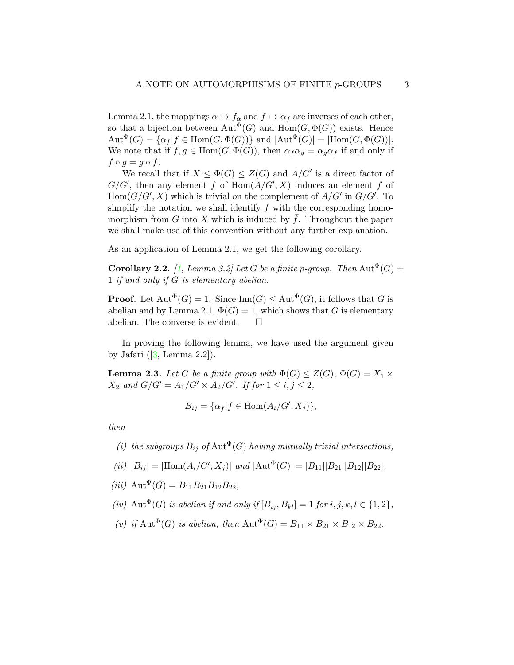Lemma 2.1, the mappings  $\alpha \mapsto f_\alpha$  and  $f \mapsto \alpha_f$  are inverses of each other, so that a bijection between  $\text{Aut}^{\Phi}(G)$  and  $\text{Hom}(G, \Phi(G))$  exists. Hence  $\mathrm{Aut}^{\Phi}(G) = {\alpha_f | f \in \mathrm{Hom}(G, \Phi(G)) }$  and  $|\mathrm{Aut}^{\Phi}(G)| = |\mathrm{Hom}(G, \Phi(G))|$ . We note that if  $f, g \in \text{Hom}(G, \Phi(G))$ , then  $\alpha_f \alpha_g = \alpha_g \alpha_f$  if and only if  $f \circ q = q \circ f$ .

We recall that if  $X \leq \Phi(G) \leq Z(G)$  and  $A/G'$  is a direct factor of  $G/G'$ , then any element f of  $\text{Hom}(A/G', X)$  induces an element f of  $Hom(G/G', X)$  which is trivial on the complement of  $A/G'$  in  $G/G'$ . To simplify the notation we shall identify  $f$  with the corresponding homomorphism from  $G$  into  $X$  which is induced by  $f$ . Throughout the paper we shall make use of this convention without any further explanation.

As an application of Lemma 2.1, we get the following corollary.

**Corollary 2.2.** [\[1,](#page-7-6) Lemma 3.2] Let G be a finite p-group. Then  $\text{Aut}^{\Phi}(G)$  = 1 if and only if G is elementary abelian.

**Proof.** Let  $\text{Aut}^{\Phi}(G) = 1$ . Since  $\text{Inn}(G) \leq \text{Aut}^{\Phi}(G)$ , it follows that G is abelian and by Lemma 2.1,  $\Phi(G) = 1$ , which shows that G is elementary abelian. The converse is evident.  $\Box$ 

In proving the following lemma, we have used the argument given by Jafari  $([3, \text{Lemma } 2.2]).$  $([3, \text{Lemma } 2.2]).$  $([3, \text{Lemma } 2.2]).$ 

**Lemma 2.3.** Let G be a finite group with  $\Phi(G) \leq Z(G)$ ,  $\Phi(G) = X_1 \times Y_2$  $X_2$  and  $G/G' = A_1/G' \times A_2/G'$ . If for  $1 \leq i, j \leq 2$ ,

$$
B_{ij} = \{ \alpha_f | f \in \text{Hom}(A_i/G', X_j) \},
$$

then

- (i) the subgroups  $B_{ij}$  of  $\text{Aut}^{\Phi}(G)$  having mutually trivial intersections,
- (ii)  $|B_{ij}| = |\text{Hom}(A_i/G', X_j)|$  and  $|\text{Aut}^{\Phi}(G)| = |B_{11}||B_{21}||B_{12}||B_{22}|$ ,
- (iii)  $\text{Aut}^{\Phi}(G) = B_{11}B_{21}B_{12}B_{22}$ ,
- (iv) Aut<sup> $\Phi$ </sup>(G) is abelian if and only if  $[B_{ij}, B_{kl}] = 1$  for  $i, j, k, l \in \{1, 2\},$
- (v) if Aut<sup> $\Phi$ </sup>(G) is abelian, then Aut<sup> $\Phi$ </sup>(G) =  $B_{11} \times B_{21} \times B_{12} \times B_{22}$ .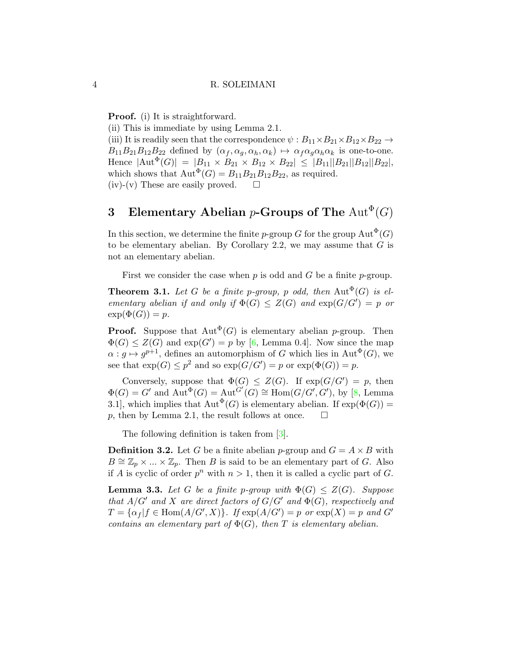Proof. (i) It is straightforward.

(ii) This is immediate by using Lemma 2.1.

(iii) It is readily seen that the correspondence  $\psi : B_{11} \times B_{21} \times B_{12} \times B_{22} \rightarrow$  $B_{11}B_{21}B_{12}B_{22}$  defined by  $(\alpha_f, \alpha_g, \alpha_h, \alpha_k) \mapsto \alpha_f \alpha_g \alpha_h \alpha_k$  is one-to-one. Hence  $|\text{Aut}^{\Phi}(G)| = |B_{11} \times B_{21} \times B_{12} \times B_{22}| \leq |B_{11}| |B_{21}| |B_{12}| |B_{22}|,$ which shows that  $\text{Aut}^{\Phi}(G) = B_{11}B_{21}B_{12}B_{22}$ , as required. (iv)-(v) These are easily proved.  $\square$ 

# 3 Elementary Abelian p-Groups of The  $\mathrm{Aut}^\Phi(G)$

In this section, we determine the finite p-group G for the group  $\mathrm{Aut}^{\Phi}(G)$ to be elementary abelian. By Corollary 2.2, we may assume that  $G$  is not an elementary abelian.

First we consider the case when  $p$  is odd and  $G$  be a finite  $p$ -group.

**Theorem 3.1.** Let G be a finite p-group, p odd, then  $\text{Aut}^{\Phi}(G)$  is elementary abelian if and only if  $\Phi(G) \leq Z(G)$  and  $\exp(G/G') = p$  or  $\exp(\Phi(G)) = p.$ 

**Proof.** Suppose that  $Aut^{\Phi}(G)$  is elementary abelian *p*-group. Then  $\Phi(G) \leq Z(G)$  and  $\exp(G') = p$  by [\[6,](#page-7-7) Lemma 0.4]. Now since the map  $\alpha: g \mapsto g^{p+1}$ , defines an automorphism of G which lies in Aut<sup> $\Phi$ </sup>(G), we see that  $\exp(G) \leq p^2$  and so  $\exp(G/G') = p$  or  $\exp(\Phi(G)) = p$ .

Conversely, suppose that  $\Phi(G) \leq Z(G)$ . If  $\exp(G/G') = p$ , then  $\Phi(G) = G'$  and  $\text{Aut}^{\Phi}(G) = \text{Aut}^{\dot{G}'}(G) \cong \text{Hom}(G/G', G'), \text{ by } [8, \text{ Lemma}$  $\text{Aut}^{\Phi}(G) = \text{Aut}^{\dot{G}'}(G) \cong \text{Hom}(G/G', G'), \text{ by } [8, \text{ Lemma}$  $\text{Aut}^{\Phi}(G) = \text{Aut}^{\dot{G}'}(G) \cong \text{Hom}(G/G', G'), \text{ by } [8, \text{ Lemma}$ 3.1], which implies that  ${\rm Aut}^{\Phi}(G)$  is elementary abelian. If  $\exp(\Phi(G))$  = p, then by Lemma 2.1, the result follows at once.  $\square$ 

The following definition is taken from [\[3\]](#page-7-2).

**Definition 3.2.** Let G be a finite abelian p-group and  $G = A \times B$  with  $B \cong \mathbb{Z}_p \times ... \times \mathbb{Z}_p$ . Then B is said to be an elementary part of G. Also if A is cyclic of order  $p^n$  with  $n > 1$ , then it is called a cyclic part of G.

**Lemma 3.3.** Let G be a finite p-group with  $\Phi(G) \leq Z(G)$ . Suppose that  $A/G'$  and X are direct factors of  $G/G'$  and  $\Phi(G)$ , respectively and  $T = {\alpha_f | f \in Hom(A/G', X)}$ . If  $exp(A/G') = p$  or  $exp(X) = p$  and G' contains an elementary part of  $\Phi(G)$ , then T is elementary abelian.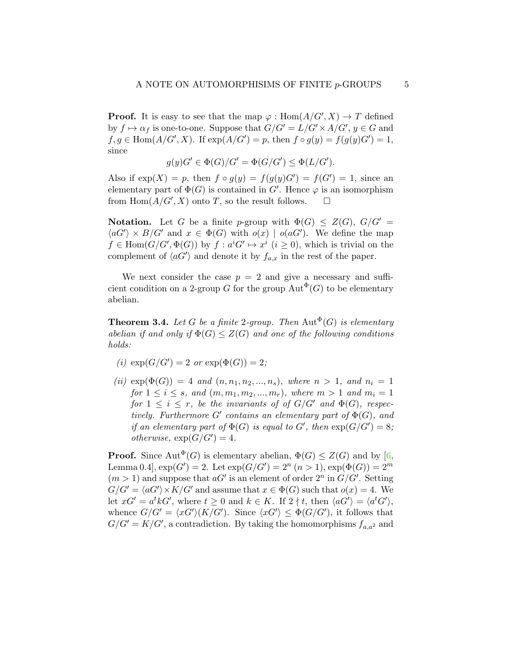**Proof.** It is easy to see that the map  $\varphi$ : Hom $(A/G', X) \to T$  defined by  $f \mapsto \alpha_f$  is one-to-one. Suppose that  $G/G' = L/G' \times A/G'$ ,  $y \in G$  and  $f, g \in \text{Hom}(A/G', X)$ . If  $\exp(A/G') = p$ , then  $f \circ g(y) = f(g(y)G') = 1$ , since

$$
g(y)G' \in \Phi(G)/G' = \Phi(G/G') \leq \Phi(L/G').
$$

Also if  $exp(X) = p$ , then  $f \circ g(y) = f(g(y)G') = f(G') = 1$ , since an elementary part of  $\Phi(G)$  is contained in G'. Hence  $\varphi$  is an isomorphism from  $\text{Hom}(A/G', X)$  onto T, so the result follows.  $\square$ 

**Notation.** Let G be a finite p-group with  $\Phi(G) \leq Z(G)$ ,  $G/G' =$  $\langle aG' \rangle \times B/G'$  and  $x \in \Phi(G)$  with  $o(x) | o(aG')$ . We define the map  $f \in \text{Hom}(G/G', \Phi(G))$  by  $f : a^i G' \mapsto x^i \ (i \geq 0)$ , which is trivial on the complement of  $\langle aG' \rangle$  and denote it by  $f_{a,x}$  in the rest of the paper.

We next consider the case  $p = 2$  and give a necessary and sufficient condition on a 2-group G for the group  $\mathrm{Aut}^{\Phi}(G)$  to be elementary abelian.

**Theorem 3.4.** Let G be a finite 2-group. Then  $\text{Aut}^{\Phi}(G)$  is elementary abelian if and only if  $\Phi(G) \leq Z(G)$  and one of the following conditions holds:

- (i)  $\exp(G/G') = 2 \text{ or } \exp(\Phi(G)) = 2;$
- (ii)  $\exp(\Phi(G)) = 4$  and  $(n, n_1, n_2, ..., n_s)$ , where  $n > 1$ , and  $n_i = 1$ for  $1 \le i \le s$ , and  $(m, m_1, m_2, ..., m_r)$ , where  $m > 1$  and  $m_i = 1$ for  $1 \leq i \leq r$ , be the invariants of of  $G/G'$  and  $\Phi(G)$ , respectively. Furthermore  $G'$  contains an elementary part of  $\Phi(G)$ , and if an elementary part of  $\Phi(G)$  is equal to G', then  $\exp(G/G') = 8$ ; otherwise,  $\exp(G/G') = 4$ .

**Proof.** Since  $\text{Aut}^{\Phi}(G)$  is elementary abelian,  $\Phi(G) \leq Z(G)$  and by [\[6,](#page-7-7) Lemma 0.4,  $\exp(G') = 2$ . Let  $\exp(G/G') = 2^n$   $(n > 1)$ ,  $\exp(\Phi(G)) = 2^m$  $(m > 1)$  and suppose that  $aG'$  is an element of order  $2^n$  in  $G/G'$ . Setting  $G/G' = \langle aG' \rangle \times K/G'$  and assume that  $x \in \Phi(G)$  such that  $o(x) = 4$ . We let  $xG' = a^t k G'$ , where  $t \geq 0$  and  $k \in K$ . If  $2 \nmid t$ , then  $\langle aG' \rangle = \langle a^t G' \rangle$ , whence  $G/G' = \langle xG'\rangle(K/G')$ . Since  $\langle xG'\rangle \leq \Phi(G/G')$ , it follows that  $G/G' = K/G'$ , a contradiction. By taking the homomorphisms  $f_{a,a^2}$  and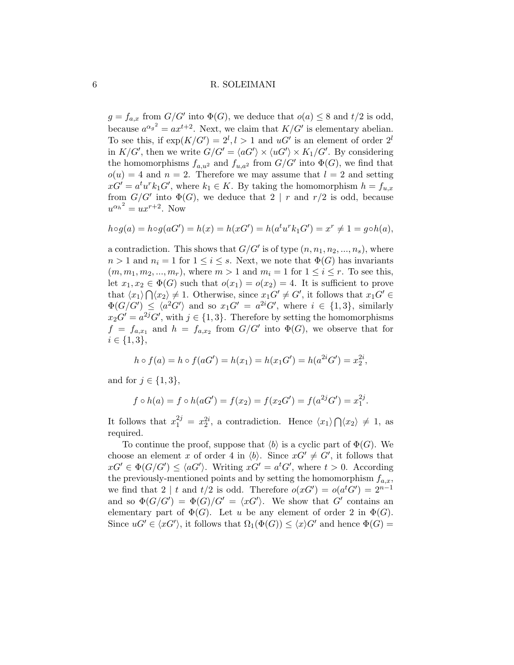#### 6 R. SOLEIMANI

 $g = f_{a,x}$  from  $G/G'$  into  $\Phi(G)$ , we deduce that  $o(a) \leq 8$  and  $t/2$  is odd, because  $a^{\alpha_g}^2 = ax^{t+2}$ . Next, we claim that  $K/G'$  is elementary abelian. To see this, if  $exp(K/G') = 2^l, l > 1$  and  $uG'$  is an element of order  $2^l$ in  $K/G'$ , then we write  $G/G' = \langle aG' \rangle \times \langle uG' \rangle \times K_1/G'$ . By considering the homomorphisms  $f_{a,u^2}$  and  $f_{u,a^2}$  from  $G/G'$  into  $\Phi(G)$ , we find that  $o(u) = 4$  and  $n = 2$ . Therefore we may assume that  $l = 2$  and setting  $xG' = a^t u^r k_1 G'$ , where  $k_1 \in K$ . By taking the homomorphism  $h = f_{u,x}$ from  $G/G'$  into  $\Phi(G)$ , we deduce that  $2 | r$  and  $r/2$  is odd, because  $u^{\alpha_h^2} = ux^{r+2}$ . Now

$$
h \circ g(a) = h \circ g(aG') = h(x) = h(xG') = h(a^t u^r k_1 G') = x^r \neq 1 = g \circ h(a),
$$

a contradiction. This shows that  $G/G'$  is of type  $(n, n_1, n_2, ..., n_s)$ , where  $n > 1$  and  $n_i = 1$  for  $1 \leq i \leq s$ . Next, we note that  $\Phi(G)$  has invariants  $(m, m_1, m_2, \ldots, m_r)$ , where  $m > 1$  and  $m_i = 1$  for  $1 \leq i \leq r$ . To see this, let  $x_1, x_2 \in \Phi(G)$  such that  $o(x_1) = o(x_2) = 4$ . It is sufficient to prove that  $\langle x_1 \rangle \bigcap \langle x_2 \rangle \neq 1$ . Otherwise, since  $x_1 G' \neq G'$ , it follows that  $x_1 G' \in$  $\Phi(G/G') \leq \langle a^2G' \rangle$  and so  $x_1G' = a^{2i}G'$ , where  $i \in \{1,3\}$ , similarly  $x_2G' = a^{2j}G'$ , with  $j \in \{1,3\}$ . Therefore by setting the homomorphisms  $f = f_{a,x_1}$  and  $h = f_{a,x_2}$  from  $G/G'$  into  $\Phi(G)$ , we observe that for  $i \in \{1,3\},\$ 

$$
h \circ f(a) = h \circ f(aG') = h(x_1) = h(x_1G') = h(a^{2i}G') = x_2^{2i},
$$

and for  $j \in \{1,3\},\$ 

$$
f \circ h(a) = f \circ h(aG') = f(x_2) = f(x_2G') = f(a^{2j}G') = x_1^{2j}.
$$

It follows that  $x_1^{2j} = x_2^{2i}$ , a contradiction. Hence  $\langle x_1 \rangle \bigcap \langle x_2 \rangle \neq 1$ , as required.

To continue the proof, suppose that  $\langle b \rangle$  is a cyclic part of  $\Phi(G)$ . We choose an element x of order 4 in  $\langle b \rangle$ . Since  $xG' \neq G'$ , it follows that  $xG' \in \Phi(G/G') \leq \langle aG' \rangle$ . Writing  $xG' = a^tG'$ , where  $t > 0$ . According the previously-mentioned points and by setting the homomorphism  $f_{a,x}$ , we find that 2 | t and  $t/2$  is odd. Therefore  $o(xG') = o(a^tG') = 2^{n-1}$ and so  $\Phi(G/G') = \Phi(G)/G' = \langle xG' \rangle$ . We show that G' contains an elementary part of  $\Phi(G)$ . Let u be any element of order 2 in  $\Phi(G)$ . Since  $uG' \in \langle xG' \rangle$ , it follows that  $\Omega_1(\Phi(G)) \leq \langle x \rangle G'$  and hence  $\Phi(G)$  =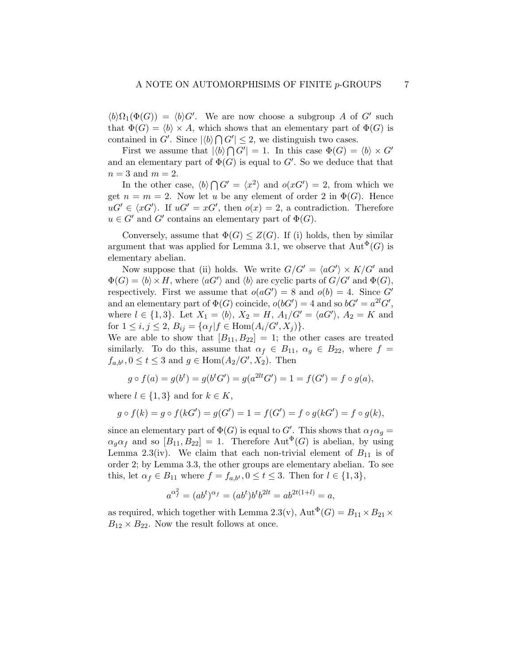$\langle b \rangle \Omega_1(\Phi(G)) = \langle b \rangle G'$ . We are now choose a subgroup A of G' such that  $\Phi(G) = \langle b \rangle \times A$ , which shows that an elementary part of  $\Phi(G)$  is contained in G'. Since  $|\langle b \rangle \bigcap G'| \leq 2$ , we distinguish two cases.

First we assume that  $|\langle b \rangle \bigcap G'| = 1$ . In this case  $\Phi(G) = \langle b \rangle \times G'$ and an elementary part of  $\Phi(G)$  is equal to  $G'$ . So we deduce that that  $n=3$  and  $m=2$ .

In the other case,  $\langle b \rangle \bigcap G' = \langle x^2 \rangle$  and  $o(xG') = 2$ , from which we get  $n = m = 2$ . Now let u be any element of order 2 in  $\Phi(G)$ . Hence  $uG' \in \langle xG' \rangle$ . If  $uG' = xG'$ , then  $o(x) = 2$ , a contradiction. Therefore  $u \in G'$  and G' contains an elementary part of  $\Phi(G)$ .

Conversely, assume that  $\Phi(G) \leq Z(G)$ . If (i) holds, then by similar argument that was applied for Lemma 3.1, we observe that  $Aut^{\Phi}(G)$  is elementary abelian.

Now suppose that (ii) holds. We write  $G/G' = \langle aG' \rangle \times K/G'$  and  $\Phi(G) = \langle b \rangle \times H$ , where  $\langle aG' \rangle$  and  $\langle b \rangle$  are cyclic parts of  $G/G'$  and  $\Phi(G)$ , respectively. First we assume that  $o(aG') = 8$  and  $o(b) = 4$ . Since G' and an elementary part of  $\Phi(G)$  coincide,  $o(bG') = 4$  and so  $bG' = a^{2l}G'$ , where  $l \in \{1,3\}$ . Let  $X_1 = \langle b \rangle$ ,  $X_2 = H$ ,  $A_1/G' = \langle aG' \rangle$ ,  $A_2 = K$  and for  $1 \le i, j \le 2$ ,  $B_{ij} = {\alpha_f | f \in Hom(A_i/G', X_j)}$ .

We are able to show that  $[B_{11}, B_{22}] = 1$ ; the other cases are treated similarly. To do this, assume that  $\alpha_f \in B_{11}$ ,  $\alpha_g \in B_{22}$ , where  $f =$  $f_{a,b^t}$ ,  $0 \le t \le 3$  and  $g \in \text{Hom}(A_2/G', X_2)$ . Then

$$
g \circ f(a) = g(b^t) = g(b^t G') = g(a^{2lt} G') = 1 = f(G') = f \circ g(a),
$$

where  $l \in \{1,3\}$  and for  $k \in K$ ,

$$
g \circ f(k) = g \circ f(kG') = g(G') = 1 = f(G') = f \circ g(kG') = f \circ g(k),
$$

since an elementary part of  $\Phi(G)$  is equal to G'. This shows that  $\alpha_f \alpha_g =$  $\alpha_q \alpha_f$  and so  $[B_{11}, B_{22}] = 1$ . Therefore  $\text{Aut}^{\Phi}(G)$  is abelian, by using Lemma 2.3(iv). We claim that each non-trivial element of  $B_{11}$  is of order 2; by Lemma 3.3, the other groups are elementary abelian. To see this, let  $\alpha_f \in B_{11}$  where  $f = f_{a,b^t}$ ,  $0 \le t \le 3$ . Then for  $l \in \{1,3\}$ ,

$$
a^{\alpha_f^2} = (ab^t)^{\alpha_f} = (ab^t)b^tb^{2lt} = ab^{2t(1+l)} = a,
$$

as required, which together with Lemma 2.3(v),  $\mathrm{Aut}^\Phi(G) = B_{11} \times B_{21} \times$  $B_{12} \times B_{22}$ . Now the result follows at once.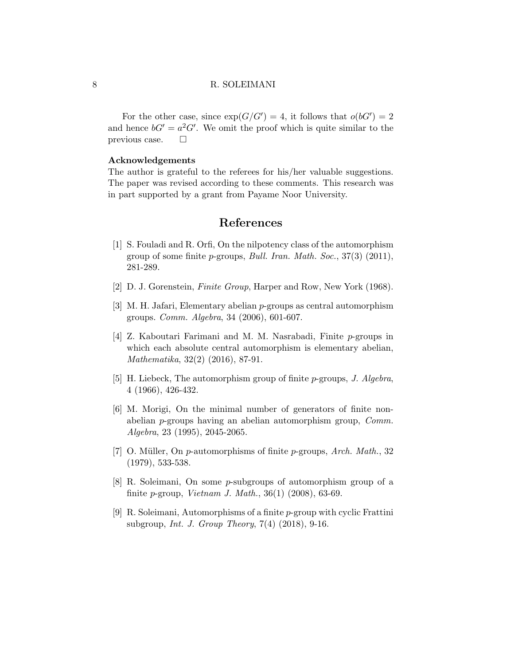#### 8 R. SOLEIMANI

For the other case, since  $\exp(G/G') = 4$ , it follows that  $o(bG') = 2$ and hence  $bG' = a^2 G'$ . We omit the proof which is quite similar to the previous case.  $\Box$ 

#### Acknowledgements

The author is grateful to the referees for his/her valuable suggestions. The paper was revised according to these comments. This research was in part supported by a grant from Payame Noor University.

# References

- <span id="page-7-6"></span>[1] S. Fouladi and R. Orfi, On the nilpotency class of the automorphism group of some finite p-groups, Bull. Iran. Math. Soc., 37(3) (2011), 281-289.
- <span id="page-7-4"></span>[2] D. J. Gorenstein, Finite Group, Harper and Row, New York (1968).
- <span id="page-7-2"></span>[3] M. H. Jafari, Elementary abelian p-groups as central automorphism groups. Comm. Algebra, 34 (2006), 601-607.
- <span id="page-7-3"></span>[4] Z. Kaboutari Farimani and M. M. Nasrabadi, Finite p-groups in which each absolute central automorphism is elementary abelian, Mathematika, 32(2) (2016), 87-91.
- <span id="page-7-0"></span>[5] H. Liebeck, The automorphism group of finite  $p$ -groups, J. Algebra, 4 (1966), 426-432.
- <span id="page-7-7"></span>[6] M. Morigi, On the minimal number of generators of finite nonabelian p-groups having an abelian automorphism group, Comm. Algebra, 23 (1995), 2045-2065.
- <span id="page-7-1"></span>[7] O. Müller, On p-automorphisms of finite p-groups, Arch. Math., 32 (1979), 533-538.
- <span id="page-7-8"></span>[8] R. Soleimani, On some p-subgroups of automorphism group of a finite p-group, Vietnam J. Math., 36(1) (2008), 63-69.
- <span id="page-7-5"></span>[9] R. Soleimani, Automorphisms of a finite p-group with cyclic Frattini subgroup, Int. J. Group Theory, 7(4) (2018), 9-16.